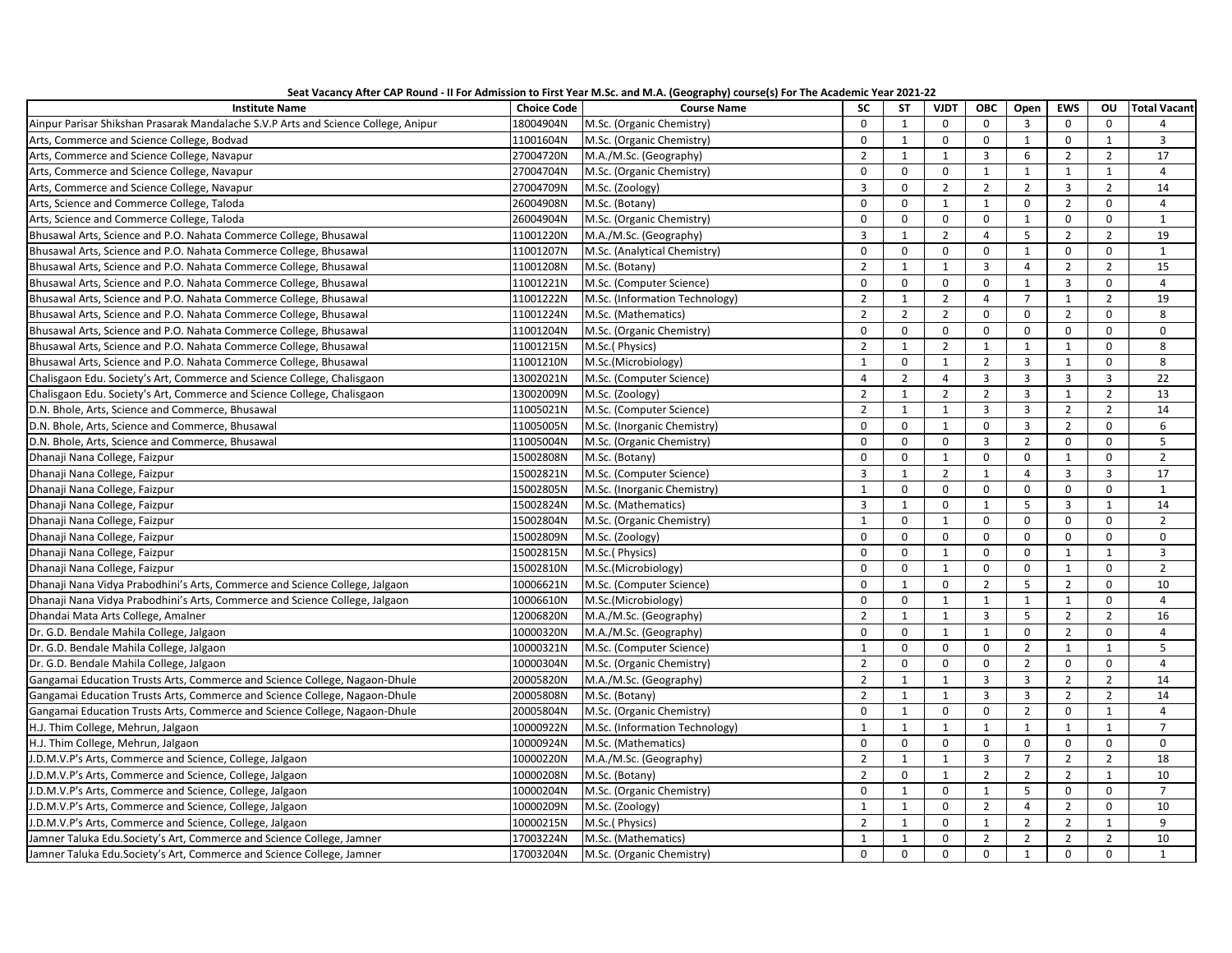| Seat Vacancy After CAP Round - II For Admission to First Year M.Sc. and M.A. (Geography) course(s) For The Academic Year 2021-22 |  |  |  |  |  |
|----------------------------------------------------------------------------------------------------------------------------------|--|--|--|--|--|
|----------------------------------------------------------------------------------------------------------------------------------|--|--|--|--|--|

| <b>Institute Name</b>                                                              | <b>Choice Code</b> | <b>Course Name</b>             | <b>SC</b>      | <b>ST</b>      | <b>VJDT</b>    | ОВС            | Open                    | <b>EWS</b>     | OU             | <b>Total Vacant</b> |
|------------------------------------------------------------------------------------|--------------------|--------------------------------|----------------|----------------|----------------|----------------|-------------------------|----------------|----------------|---------------------|
| Ainpur Parisar Shikshan Prasarak Mandalache S.V.P Arts and Science College, Anipur | 18004904N          | M.Sc. (Organic Chemistry)      | $\mathbf 0$    | $\mathbf{1}$   | $\mathbf 0$    | $\mathbf 0$    | $\overline{3}$          | $\mathsf{O}$   | $\mathbf 0$    | 4                   |
| Arts, Commerce and Science College, Bodvad                                         | 11001604N          | M.Sc. (Organic Chemistry)      | $\mathbf 0$    | 1              | $\mathbf 0$    | $\mathbf 0$    | 1                       | $\mathbf 0$    | $\mathbf{1}$   | $\overline{3}$      |
| Arts, Commerce and Science College, Navapur                                        | 27004720N          | M.A./M.Sc. (Geography)         | $\overline{2}$ | $\mathbf{1}$   | $\mathbf{1}$   | $\overline{3}$ | 6                       | $\overline{2}$ | $\overline{2}$ | 17                  |
| Arts, Commerce and Science College, Navapur                                        | 27004704N          | M.Sc. (Organic Chemistry)      | $\mathbf 0$    | $\mathbf 0$    | 0              | $\mathbf{1}$   | $\mathbf{1}$            | $\mathbf{1}$   | $\mathbf{1}$   | $\overline{4}$      |
| Arts, Commerce and Science College, Navapur                                        | 27004709N          | M.Sc. (Zoology)                | $\overline{3}$ | $\mathbf 0$    | $\overline{2}$ | $\overline{2}$ | $\overline{2}$          | $\overline{3}$ | $\overline{2}$ | 14                  |
| Arts, Science and Commerce College, Taloda                                         | 26004908N          | M.Sc. (Botany)                 | $\mathbf 0$    | $\mathbf 0$    | $\mathbf{1}$   | $\mathbf{1}$   | $\mathbf 0$             | $\overline{2}$ | $\mathbf 0$    | $\overline{4}$      |
| Arts, Science and Commerce College, Taloda                                         | 26004904N          | M.Sc. (Organic Chemistry)      | $\Omega$       | $\Omega$       | $\Omega$       | $\mathbf{0}$   | $\mathbf{1}$            | $\Omega$       | $\Omega$       | $\mathbf{1}$        |
| Bhusawal Arts, Science and P.O. Nahata Commerce College, Bhusawal                  | 11001220N          | M.A./M.Sc. (Geography)         | $\overline{3}$ | $\mathbf 1$    | $\overline{2}$ | $\overline{4}$ | 5                       | $\overline{2}$ | $\overline{2}$ | 19                  |
| Bhusawal Arts, Science and P.O. Nahata Commerce College, Bhusawal                  | 11001207N          | M.Sc. (Analytical Chemistry)   | $\mathsf 0$    | $\mathbf 0$    | $\mathbf 0$    | $\mathbf 0$    | $\mathbf{1}$            | $\mathbf 0$    | $\mathbf 0$    | $\mathbf{1}$        |
| Bhusawal Arts, Science and P.O. Nahata Commerce College, Bhusawal                  | 11001208N          | M.Sc. (Botany)                 | $\overline{2}$ | $\mathbf{1}$   | $\mathbf{1}$   | $\overline{3}$ | $\overline{4}$          | $\overline{2}$ | $\overline{2}$ | 15                  |
| Bhusawal Arts, Science and P.O. Nahata Commerce College, Bhusawal                  | 11001221N          | M.Sc. (Computer Science)       | $\mathbf 0$    | $\mathbf 0$    | $\mathbf 0$    | $\mathbf 0$    | $\mathbf{1}$            | $\overline{3}$ | $\mathbf 0$    | $\overline{4}$      |
| Bhusawal Arts, Science and P.O. Nahata Commerce College, Bhusawal                  | 11001222N          | M.Sc. (Information Technology) | $\overline{2}$ | $\mathbf{1}$   | $\overline{2}$ | $\overline{4}$ | $\overline{7}$          | $\mathbf{1}$   | $\overline{2}$ | 19                  |
| Bhusawal Arts, Science and P.O. Nahata Commerce College, Bhusawal                  | 11001224N          | M.Sc. (Mathematics)            | $\overline{2}$ | $\overline{2}$ | $\overline{2}$ | $\mathbf 0$    | $\mathsf{o}$            | $\overline{2}$ | $\mathbf 0$    | 8                   |
| Bhusawal Arts, Science and P.O. Nahata Commerce College, Bhusawal                  | 11001204N          | M.Sc. (Organic Chemistry)      | $\Omega$       | $\mathbf 0$    | $\mathbf 0$    | $\mathbf 0$    | $\mathbf 0$             | $\mathbf 0$    | $\Omega$       | $\mathbf 0$         |
| Bhusawal Arts, Science and P.O. Nahata Commerce College, Bhusawal                  | 11001215N          | M.Sc.(Physics)                 | $\overline{2}$ | $\mathbf{1}$   | $\overline{2}$ | $\mathbf{1}$   | $\mathbf{1}$            | $1\,$          | $\mathbf 0$    | 8                   |
| Bhusawal Arts, Science and P.O. Nahata Commerce College, Bhusawal                  | 11001210N          | M.Sc.(Microbiology)            | $\overline{1}$ | $\mathbf 0$    | $\overline{1}$ | $\overline{2}$ | $\overline{3}$          | $\mathbf{1}$   | $\Omega$       | 8                   |
| Chalisgaon Edu. Society's Art, Commerce and Science College, Chalisgaon            | 13002021N          | M.Sc. (Computer Science)       | $\overline{4}$ | $\overline{2}$ | $\overline{4}$ | $\overline{3}$ | 3                       | $\overline{3}$ | $\overline{3}$ | 22                  |
| Chalisgaon Edu. Society's Art, Commerce and Science College, Chalisgaon            | 13002009N          | M.Sc. (Zoology)                | $\overline{2}$ | $\mathbf{1}$   | $\overline{2}$ | $\overline{2}$ | $\overline{\mathbf{3}}$ | $\mathbf{1}$   | $\overline{2}$ | 13                  |
| D.N. Bhole, Arts, Science and Commerce, Bhusawal                                   | 11005021N          | M.Sc. (Computer Science)       | $\overline{2}$ | $\mathbf{1}$   | $\mathbf{1}$   | $\overline{3}$ | $\overline{3}$          | $\overline{2}$ | $\overline{2}$ | 14                  |
| D.N. Bhole, Arts, Science and Commerce, Bhusawal                                   | 11005005N          | M.Sc. (Inorganic Chemistry)    | $\mathbf 0$    | $\mathbf 0$    | $\mathbf{1}$   | $\mathbf 0$    | $\overline{3}$          | $\overline{2}$ | $\mathbf 0$    | 6                   |
| D.N. Bhole, Arts, Science and Commerce, Bhusawal                                   | 11005004N          | M.Sc. (Organic Chemistry)      | $\Omega$       | $\mathbf 0$    | $\Omega$       | $\overline{3}$ | $\overline{2}$          | $\mathbf 0$    | $\Omega$       | 5                   |
| Dhanaji Nana College, Faizpur                                                      | 15002808N          | M.Sc. (Botany)                 | $\Omega$       | $\mathbf 0$    | $\mathbf{1}$   | $\Omega$       | 0                       | $\mathbf{1}$   | 0              | $\overline{2}$      |
| Dhanaji Nana College, Faizpur                                                      | 15002821N          | M.Sc. (Computer Science)       | 3              | $\mathbf{1}$   | $\overline{2}$ | $\mathbf{1}$   | $\overline{4}$          | $\overline{3}$ | 3              | 17                  |
| Dhanaji Nana College, Faizpur                                                      | 15002805N          | M.Sc. (Inorganic Chemistry)    | $\mathbf{1}$   | $\mathbf 0$    | $\Omega$       | $\mathbf 0$    | $\mathbf 0$             | $\mathbf 0$    | $\mathbf 0$    | $\mathbf{1}$        |
| Dhanaji Nana College, Faizpur                                                      | 15002824N          | M.Sc. (Mathematics)            | $\overline{3}$ | $\mathbf{1}$   | $\Omega$       | $\mathbf{1}$   | 5                       | $\overline{3}$ | $\mathbf{1}$   | 14                  |
| Dhanaji Nana College, Faizpur                                                      | 15002804N          | M.Sc. (Organic Chemistry)      | $\mathbf{1}$   | $\mathbf 0$    | $\mathbf{1}$   | $\mathbf 0$    | 0                       | $\mathbf 0$    | 0              | $\overline{2}$      |
| Dhanaji Nana College, Faizpur                                                      | 15002809N          | M.Sc. (Zoology)                | $\mathbf 0$    | $\mathbf 0$    | $\mathbf 0$    | $\mathbf 0$    | $\mathsf 0$             | $\mathsf 0$    | $\mathbf 0$    | 0                   |
| Dhanaji Nana College, Faizpur                                                      | 15002815N          | M.Sc.(Physics)                 | $\mathbf 0$    | $\mathbf 0$    | $\mathbf{1}$   | $\mathbf 0$    | $\mathbf 0$             | $\mathbf{1}$   | $\mathbf{1}$   | $\overline{3}$      |
| Dhanaji Nana College, Faizpur                                                      | 15002810N          | M.Sc.(Microbiology)            | $\Omega$       | $\mathbf 0$    | $\mathbf{1}$   | $\Omega$       | $\mathbf 0$             | $\mathbf{1}$   | $\Omega$       | $\overline{2}$      |
| Dhanaji Nana Vidya Prabodhini's Arts, Commerce and Science College, Jalgaon        | 10006621N          | M.Sc. (Computer Science)       | $\Omega$       | $\mathbf{1}$   | $\mathbf 0$    | $\overline{2}$ | 5                       | $\overline{2}$ | $\mathbf 0$    | 10                  |
| Dhanaji Nana Vidya Prabodhini's Arts, Commerce and Science College, Jalgaon        | 10006610N          | M.Sc.(Microbiology)            | $\mathbf 0$    | $\mathbf 0$    | $\mathbf{1}$   | $\mathbf{1}$   | $\mathbf{1}$            | $\mathbf{1}$   | $\mathbf 0$    | $\overline{4}$      |
| Dhandai Mata Arts College, Amalner                                                 | 12006820N          | M.A./M.Sc. (Geography)         | $\overline{2}$ | $\mathbf{1}$   | $\mathbf{1}$   | $\overline{3}$ | 5                       | $\overline{2}$ | $\overline{2}$ | 16                  |
| Dr. G.D. Bendale Mahila College, Jalgaon                                           | 10000320N          | M.A./M.Sc. (Geography)         | $\Omega$       | $\mathbf 0$    | $\mathbf{1}$   | $\mathbf{1}$   | $\mathbf 0$             | $\overline{2}$ | $\mathbf 0$    | $\overline{4}$      |
| Dr. G.D. Bendale Mahila College, Jalgaon                                           | 10000321N          | M.Sc. (Computer Science)       | $\mathbf{1}$   | $\mathbf 0$    | $\mathbf 0$    | $\mathbf 0$    | $\overline{2}$          | $\mathbf{1}$   | $\mathbf{1}$   | 5                   |
| Dr. G.D. Bendale Mahila College, Jalgaon                                           | 10000304N          | M.Sc. (Organic Chemistry)      | $\overline{2}$ | $\mathbf 0$    | $\mathbf 0$    | $\mathbf 0$    | $\overline{2}$          | $\mathbf 0$    | $\mathsf{O}$   | $\overline{4}$      |
| Gangamai Education Trusts Arts, Commerce and Science College, Nagaon-Dhule         | 20005820N          | M.A./M.Sc. (Geography)         | $\overline{2}$ | $\mathbf{1}$   | $\mathbf{1}$   | $\overline{3}$ | $\overline{3}$          | $\overline{2}$ | $\overline{2}$ | 14                  |
| Gangamai Education Trusts Arts, Commerce and Science College, Nagaon-Dhule         | 20005808N          | M.Sc. (Botany)                 | $\overline{2}$ | $\mathbf{1}$   | $\mathbf{1}$   | $\overline{3}$ | $\overline{3}$          | $\overline{2}$ | $\overline{2}$ | 14                  |
| Gangamai Education Trusts Arts, Commerce and Science College, Nagaon-Dhule         | 20005804N          | M.Sc. (Organic Chemistry)      | $\Omega$       | 1              | 0              | $\mathbf 0$    | $\overline{2}$          | $\mathbf 0$    | 1              | $\overline{4}$      |
| H.J. Thim College, Mehrun, Jalgaon                                                 | 10000922N          | M.Sc. (Information Technology) | $\mathbf{1}$   | $\mathbf{1}$   | $\mathbf{1}$   | $\mathbf{1}$   | $\mathbf{1}$            | $\mathbf{1}$   | $\mathbf{1}$   | $\overline{7}$      |
| H.J. Thim College, Mehrun, Jalgaon                                                 | 10000924N          | M.Sc. (Mathematics)            | $\mathbf 0$    | $\mathbf 0$    | $\mathbf 0$    | $\mathbf 0$    | $\mathbf 0$             | $\mathbf 0$    | $\mathbf 0$    | $\mathbf 0$         |
| J.D.M.V.P's Arts, Commerce and Science, College, Jalgaon                           | 10000220N          | M.A./M.Sc. (Geography)         | $\overline{2}$ | $\mathbf{1}$   | $\mathbf{1}$   | $\overline{3}$ | $\overline{7}$          | $\overline{2}$ | $\overline{2}$ | 18                  |
| J.D.M.V.P's Arts, Commerce and Science, College, Jalgaon                           | 10000208N          | M.Sc. (Botany)                 | $\overline{2}$ | $\mathbf 0$    | $\mathbf 1$    | $\overline{2}$ | $\overline{2}$          | $\overline{2}$ | $\mathbf{1}$   | 10                  |
| J.D.M.V.P's Arts, Commerce and Science, College, Jalgaon                           | 10000204N          | M.Sc. (Organic Chemistry)      | $\mathbf 0$    | $\mathbf{1}$   | $\mathbf 0$    | $\mathbf{1}$   | 5                       | $\mathsf 0$    | $\mathbf 0$    | $\overline{7}$      |
| J.D.M.V.P's Arts, Commerce and Science, College, Jalgaon                           | 10000209N          | M.Sc. (Zoology)                | $\mathbf{1}$   | $\mathbf{1}$   | $\mathbf 0$    | $\overline{2}$ | $\overline{4}$          | $\overline{2}$ | $\mathsf{O}$   | 10                  |
| J.D.M.V.P's Arts, Commerce and Science, College, Jalgaon                           | 10000215N          | M.Sc.(Physics)                 | $\overline{2}$ | $\mathbf{1}$   | $\mathbf 0$    | $\mathbf{1}$   | $\overline{2}$          | $\overline{2}$ | $\mathbf{1}$   | 9                   |
| Jamner Taluka Edu.Society's Art, Commerce and Science College, Jamner              | 17003224N          | M.Sc. (Mathematics)            | $\mathbf{1}$   | $\mathbf{1}$   | $\Omega$       | $\overline{2}$ | $\overline{2}$          | $\overline{2}$ | $\overline{2}$ | 10                  |
| Jamner Taluka Edu.Society's Art, Commerce and Science College, Jamner              | 17003204N          | M.Sc. (Organic Chemistry)      | $\Omega$       | $\Omega$       | $\Omega$       | $\Omega$       | $\mathbf{1}$            | $\Omega$       | $\Omega$       | $\mathbf{1}$        |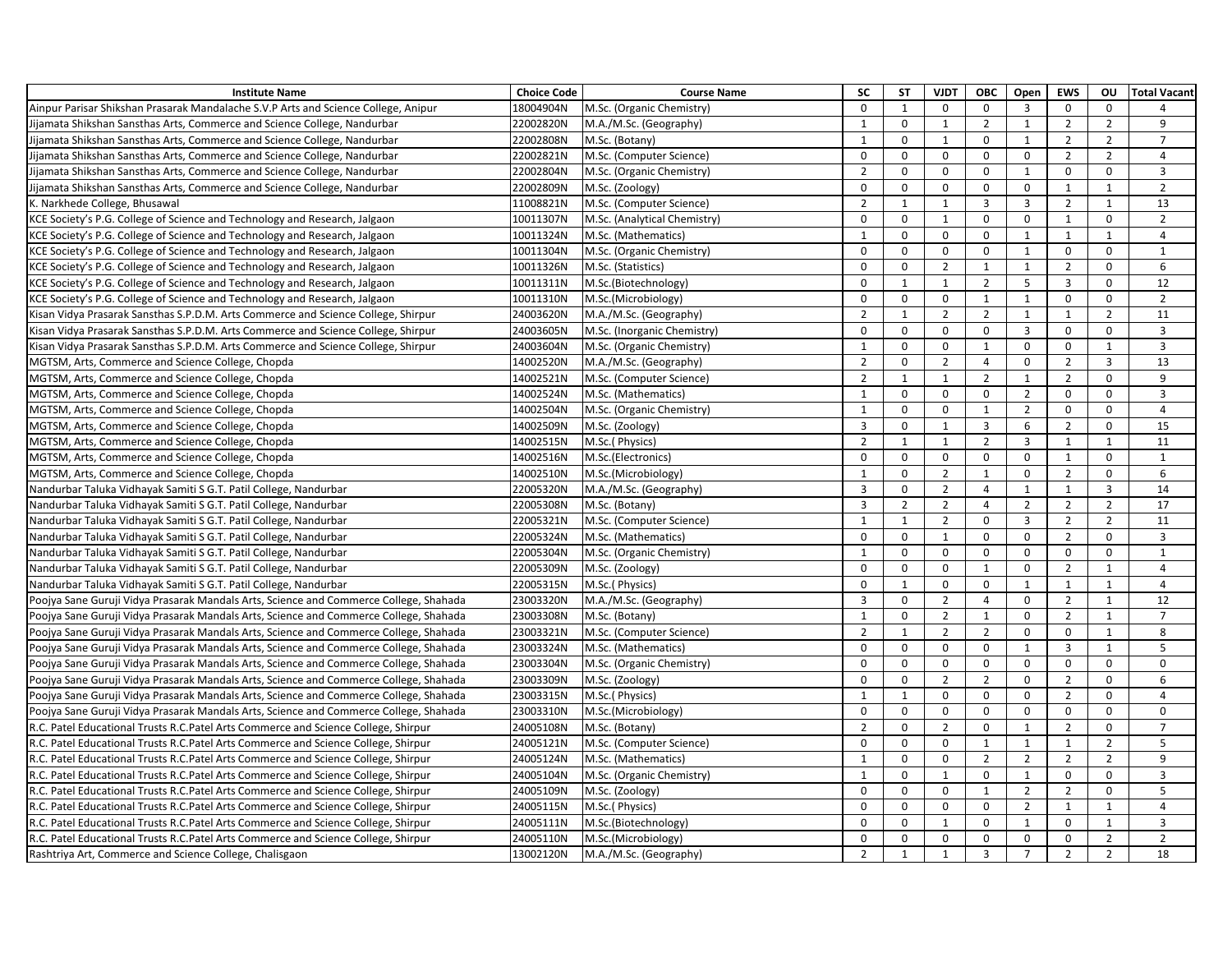| <b>Institute Name</b>                                                                 | <b>Choice Code</b> | <b>Course Name</b>           | <b>SC</b>      | <b>ST</b>      | <b>VJDT</b>    | <b>OBC</b>     | Open           | <b>EWS</b>     | <b>OU</b>      | <b>Total Vacant</b> |
|---------------------------------------------------------------------------------------|--------------------|------------------------------|----------------|----------------|----------------|----------------|----------------|----------------|----------------|---------------------|
| Ainpur Parisar Shikshan Prasarak Mandalache S.V.P Arts and Science College, Anipur    | 18004904N          | M.Sc. (Organic Chemistry)    | $\mathbf 0$    | $\mathbf 1$    | $\mathbf 0$    | $\mathbf 0$    | 3              | $\mathbf 0$    | $\mathbf 0$    |                     |
| Jijamata Shikshan Sansthas Arts, Commerce and Science College, Nandurbar              | 22002820N          | M.A./M.Sc. (Geography)       | $\mathbf{1}$   | $\mathbf 0$    | $\overline{1}$ | $\overline{2}$ | $\mathbf{1}$   | $\overline{2}$ | $\overline{2}$ | 9                   |
| Jijamata Shikshan Sansthas Arts, Commerce and Science College, Nandurbar              | 22002808N          | M.Sc. (Botany)               | $\mathbf{1}$   | $\mathsf 0$    | $\mathbf{1}$   | $\mathbf 0$    | $\mathbf{1}$   | $\overline{2}$ | $\overline{2}$ | $\overline{7}$      |
| Jijamata Shikshan Sansthas Arts, Commerce and Science College, Nandurbar              | 22002821N          | M.Sc. (Computer Science)     | $\Omega$       | 0              | $\Omega$       | $\Omega$       | 0              | $\overline{2}$ | $\overline{2}$ | $\overline{4}$      |
| Jijamata Shikshan Sansthas Arts, Commerce and Science College, Nandurbar              | 22002804N          | M.Sc. (Organic Chemistry)    | $\overline{2}$ | $\mathbf 0$    | $\mathbf 0$    | $\mathbf 0$    | $\mathbf{1}$   | $\mathbf 0$    | $\mathbf 0$    | 3                   |
| Jijamata Shikshan Sansthas Arts, Commerce and Science College, Nandurbar              | 22002809N          | M.Sc. (Zoology)              | $\mathbf 0$    | $\mathbf 0$    | $\mathbf 0$    | $\mathbf 0$    | $\mathsf 0$    | $\mathbf{1}$   | $\mathbf{1}$   | $\overline{2}$      |
| K. Narkhede College, Bhusawal                                                         | 11008821N          | M.Sc. (Computer Science)     | $\overline{2}$ | $\mathbf{1}$   | 1              | $\overline{3}$ | $\overline{3}$ | $\overline{2}$ | $\mathbf{1}$   | 13                  |
| KCE Society's P.G. College of Science and Technology and Research, Jalgaon            | 10011307N          | M.Sc. (Analytical Chemistry) | $\mathbf 0$    | $\mathbf 0$    | 1              | $\mathbf 0$    | $\mathbf 0$    | $\mathbf{1}$   | $\mathbf 0$    | $\overline{2}$      |
| KCE Society's P.G. College of Science and Technology and Research, Jalgaon            | 10011324N          | M.Sc. (Mathematics)          | $\mathbf{1}$   | $\mathbf 0$    | $\mathbf 0$    | $\mathbf 0$    | $\mathbf{1}$   | $\mathbf{1}$   | $\mathbf{1}$   | $\overline{4}$      |
| KCE Society's P.G. College of Science and Technology and Research, Jalgaon            | 10011304N          | M.Sc. (Organic Chemistry)    | $\Omega$       | $\mathsf 0$    | $\mathbf 0$    | $\mathbf{0}$   | $\mathbf{1}$   | $\mathsf 0$    | $\mathbf 0$    | $\mathbf{1}$        |
| KCE Society's P.G. College of Science and Technology and Research, Jalgaon            | 10011326N          | M.Sc. (Statistics)           | $\Omega$       | $\mathbf 0$    | 2              | $\mathbf{1}$   | $\mathbf{1}$   | $\overline{2}$ | $\mathbf 0$    | 6                   |
| KCE Society's P.G. College of Science and Technology and Research, Jalgaon            | 10011311N          | M.Sc.(Biotechnology)         | $\Omega$       | $\mathbf{1}$   | 1              | $\overline{2}$ | 5              | 3              | $\mathbf 0$    | 12                  |
| KCE Society's P.G. College of Science and Technology and Research, Jalgaon            | 10011310N          | M.Sc.(Microbiology)          | $\Omega$       | $\mathbf 0$    | $\Omega$       | 1              | $\mathbf{1}$   | $\mathbf 0$    | $\mathbf 0$    | $\overline{2}$      |
| Kisan Vidya Prasarak Sansthas S.P.D.M. Arts Commerce and Science College, Shirpur     | 24003620N          | M.A./M.Sc. (Geography)       | $\overline{2}$ | $\mathbf{1}$   | $\overline{2}$ | $\overline{2}$ | 1              | 1              | $\overline{2}$ | 11                  |
| Kisan Vidya Prasarak Sansthas S.P.D.M. Arts Commerce and Science College, Shirpur     | 24003605N          | M.Sc. (Inorganic Chemistry)  | $\mathbf 0$    | $\mathsf 0$    | $\mathbf 0$    | $\mathbf 0$    | $\overline{3}$ | $\mathsf 0$    | $\mathsf{O}$   | $\overline{3}$      |
| Kisan Vidya Prasarak Sansthas S.P.D.M. Arts Commerce and Science College, Shirpur     | 24003604N          | M.Sc. (Organic Chemistry)    | $\mathbf{1}$   | $\mathsf 0$    | $\Omega$       | 1              | 0              | $\mathsf 0$    | $\mathbf{1}$   | $\overline{3}$      |
| MGTSM, Arts, Commerce and Science College, Chopda                                     | 14002520N          | M.A./M.Sc. (Geography)       | $\overline{2}$ | $\mathbf 0$    | $\overline{2}$ | $\overline{4}$ | $\mathbf 0$    | $\overline{2}$ | $\overline{3}$ | 13                  |
| MGTSM, Arts, Commerce and Science College, Chopda                                     | 14002521N          | M.Sc. (Computer Science)     | $\overline{2}$ | $\mathbf{1}$   | 1              | $\overline{2}$ | 1              | $\overline{2}$ | $\mathbf 0$    | 9                   |
| MGTSM, Arts, Commerce and Science College, Chopda                                     | 14002524N          | M.Sc. (Mathematics)          | 1              | $\mathbf 0$    | $\mathbf 0$    | $\mathbf 0$    | $\overline{2}$ | $\mathbf 0$    | $\mathbf 0$    | $\overline{3}$      |
| MGTSM, Arts, Commerce and Science College, Chopda                                     | 14002504N          | M.Sc. (Organic Chemistry)    | 1              | $\mathbf 0$    | $\mathbf 0$    | $\mathbf{1}$   | $\overline{2}$ | $\Omega$       | $\mathbf 0$    | $\overline{4}$      |
| MGTSM, Arts, Commerce and Science College, Chopda                                     | 14002509N          | M.Sc. (Zoology)              | 3              | $\mathbf 0$    | $\mathbf{1}$   | 3              | 6              | $\overline{2}$ | $\mathbf 0$    | 15                  |
| MGTSM, Arts, Commerce and Science College, Chopda                                     | 14002515N          | M.Sc.(Physics)               | $\overline{2}$ | $\mathbf{1}$   | $\mathbf{1}$   | $\overline{2}$ | 3              | $\mathbf{1}$   | $\mathbf{1}$   | 11                  |
| MGTSM, Arts, Commerce and Science College, Chopda                                     | 14002516N          | M.Sc.(Electronics)           | $\Omega$       | $\Omega$       | $\Omega$       | $\Omega$       | $\Omega$       | $\mathbf{1}$   | $\Omega$       | $\mathbf{1}$        |
| MGTSM, Arts, Commerce and Science College, Chopda                                     | 14002510N          | M.Sc.(Microbiology)          | $\mathbf{1}$   | $\mathbf 0$    | $\overline{2}$ | $\mathbf{1}$   | 0              | $\overline{2}$ | $\mathbf 0$    | 6                   |
| Nandurbar Taluka Vidhayak Samiti S G.T. Patil College, Nandurbar                      | 22005320N          | M.A./M.Sc. (Geography)       | $\overline{3}$ | $\mathbf 0$    | $\overline{2}$ | $\overline{4}$ | $\mathbf{1}$   | $\mathbf{1}$   | $\overline{3}$ | 14                  |
| Nandurbar Taluka Vidhayak Samiti S G.T. Patil College, Nandurbar                      | 22005308N          | M.Sc. (Botany)               | $\overline{3}$ | $\overline{2}$ | $\overline{2}$ | $\overline{4}$ | $\overline{2}$ | $\overline{2}$ | $\overline{2}$ | 17                  |
| Nandurbar Taluka Vidhayak Samiti S G.T. Patil College, Nandurbar                      | 22005321N          | M.Sc. (Computer Science)     | $\mathbf{1}$   | $\mathbf{1}$   | $\overline{2}$ | $\mathbf 0$    | $\overline{3}$ | $\overline{2}$ | $\overline{2}$ | 11                  |
| Nandurbar Taluka Vidhayak Samiti S G.T. Patil College, Nandurbar                      | 22005324N          | M.Sc. (Mathematics)          | 0              | $\mathsf 0$    | $\mathbf{1}$   | $\mathbf 0$    | 0              | $\overline{2}$ | $\mathsf{O}$   | 3                   |
| Nandurbar Taluka Vidhayak Samiti S G.T. Patil College, Nandurbar                      | 22005304N          | M.Sc. (Organic Chemistry)    | $\mathbf{1}$   | $\mathsf 0$    | $\mathbf 0$    | 0              | 0              | $\mathsf 0$    | $\mathsf{O}$   | $\mathbf{1}$        |
| Nandurbar Taluka Vidhayak Samiti S G.T. Patil College, Nandurbar                      | 22005309N          | M.Sc. (Zoology)              | 0              | $\mathbf 0$    | $\mathbf 0$    | $\mathbf{1}$   | 0              | $\overline{2}$ | $\mathbf{1}$   | $\overline{4}$      |
| Nandurbar Taluka Vidhayak Samiti S G.T. Patil College, Nandurbar                      | 22005315N          | M.Sc.(Physics)               | $\Omega$       | $\mathbf{1}$   | $\mathbf 0$    | $\mathbf 0$    | 1              | 1              | 1              | $\overline{4}$      |
| Poojya Sane Guruji Vidya Prasarak Mandals Arts, Science and Commerce College, Shahada | 23003320N          | M.A./M.Sc. (Geography)       | $\overline{3}$ | $\mathbf 0$    | $\overline{2}$ | $\overline{4}$ | $\mathbf 0$    | $\overline{2}$ | $\mathbf{1}$   | 12                  |
| Poojya Sane Guruji Vidya Prasarak Mandals Arts, Science and Commerce College, Shahada | 23003308N          | M.Sc. (Botany)               | 1              | $\mathsf 0$    | $\overline{2}$ | $\mathbf{1}$   | $\mathbf 0$    | $\overline{2}$ | $\mathbf{1}$   | $\overline{7}$      |
| Poojya Sane Guruji Vidya Prasarak Mandals Arts, Science and Commerce College, Shahada | 23003321N          | M.Sc. (Computer Science)     | $\overline{2}$ | $\mathbf{1}$   | $\overline{2}$ | $\overline{2}$ | 0              | $\mathbf 0$    | $\mathbf{1}$   | 8                   |
| Poojya Sane Guruji Vidya Prasarak Mandals Arts, Science and Commerce College, Shahada | 23003324N          | M.Sc. (Mathematics)          | $\Omega$       | $\Omega$       | $\Omega$       | $\mathbf{0}$   | $\mathbf{1}$   | 3              | 1              | 5                   |
| Poojya Sane Guruji Vidya Prasarak Mandals Arts, Science and Commerce College, Shahada | 23003304N          | M.Sc. (Organic Chemistry)    | $\Omega$       | $\mathbf 0$    | $\Omega$       | $\mathbf{0}$   | 0              | $\mathbf 0$    | $\mathbf 0$    | 0                   |
| Poojya Sane Guruji Vidya Prasarak Mandals Arts, Science and Commerce College, Shahada | 23003309N          | M.Sc. (Zoology)              | $\Omega$       | $\mathbf 0$    | $\overline{2}$ | $\overline{2}$ | 0              | $\overline{2}$ | $\mathbf 0$    | 6                   |
| Poojya Sane Guruji Vidya Prasarak Mandals Arts, Science and Commerce College, Shahada | 23003315N          | M.Sc.(Physics)               | 1              | $\mathbf{1}$   | $\mathbf 0$    | $\mathbf 0$    | $\mathbf 0$    | $\overline{2}$ | $\mathbf 0$    | $\overline{4}$      |
| Poojya Sane Guruji Vidya Prasarak Mandals Arts, Science and Commerce College, Shahada | 23003310N          | M.Sc.(Microbiology)          | $\mathbf 0$    | $\mathbf 0$    | $\mathbf 0$    | $\mathbf 0$    | $\mathbf 0$    | $\mathsf 0$    | $\mathsf{O}$   | $\mathbf 0$         |
| R.C. Patel Educational Trusts R.C. Patel Arts Commerce and Science College, Shirpur   | 24005108N          | M.Sc. (Botany)               | $\overline{2}$ | $\mathbf 0$    | $\overline{2}$ | $\mathbf 0$    | 1              | $\overline{2}$ | $\mathsf{O}$   | $\overline{7}$      |
| R.C. Patel Educational Trusts R.C. Patel Arts Commerce and Science College, Shirpur   | 24005121N          | M.Sc. (Computer Science)     | $\mathbf 0$    | $\mathsf 0$    | $\mathbf 0$    | $\mathbf{1}$   | $\mathbf{1}$   | $\mathbf{1}$   | $\overline{2}$ | 5                   |
| R.C. Patel Educational Trusts R.C.Patel Arts Commerce and Science College, Shirpur    | 24005124N          | M.Sc. (Mathematics)          | $\mathbf{1}$   | $\mathsf 0$    | $\Omega$       | $\overline{2}$ | $\overline{2}$ | $\overline{2}$ | $\overline{2}$ | 9                   |
| R.C. Patel Educational Trusts R.C.Patel Arts Commerce and Science College, Shirpur    | 24005104N          | M.Sc. (Organic Chemistry)    | $\mathbf{1}$   | $\mathbf 0$    | $\mathbf{1}$   | $\mathbf 0$    | $\mathbf{1}$   | $\mathbf 0$    | $\mathbf 0$    | $\overline{3}$      |
| R.C. Patel Educational Trusts R.C.Patel Arts Commerce and Science College, Shirpur    | 24005109N          | M.Sc. (Zoology)              | $\Omega$       | $\mathbf 0$    | $\Omega$       | $\mathbf{1}$   | $\overline{2}$ | $\overline{2}$ | $\mathbf 0$    | 5                   |
| R.C. Patel Educational Trusts R.C. Patel Arts Commerce and Science College, Shirpur   | 24005115N          | M.Sc.(Physics)               | $\Omega$       | $\mathbf 0$    | $\mathbf 0$    | $\mathbf 0$    | $\overline{2}$ | $\mathbf{1}$   | $\mathbf{1}$   | $\overline{4}$      |
| R.C. Patel Educational Trusts R.C. Patel Arts Commerce and Science College, Shirpur   | 24005111N          | M.Sc.(Biotechnology)         | $\Omega$       | $\mathbf 0$    | $\overline{1}$ | $\Omega$       | $\mathbf{1}$   | $\mathbf 0$    | $\mathbf{1}$   | 3                   |
| R.C. Patel Educational Trusts R.C.Patel Arts Commerce and Science College, Shirpur    | 24005110N          | M.Sc.(Microbiology)          | $\Omega$       | $\mathsf 0$    | $\Omega$       | $\mathbf 0$    | 0              | $\mathbf 0$    | $\overline{2}$ | $\overline{2}$      |
| Rashtriya Art, Commerce and Science College, Chalisgaon                               | 13002120N          | M.A./M.Sc. (Geography)       | $\overline{2}$ | $\mathbf{1}$   | $\mathbf{1}$   | 3              | $\overline{7}$ | $\overline{2}$ | $\overline{2}$ | 18                  |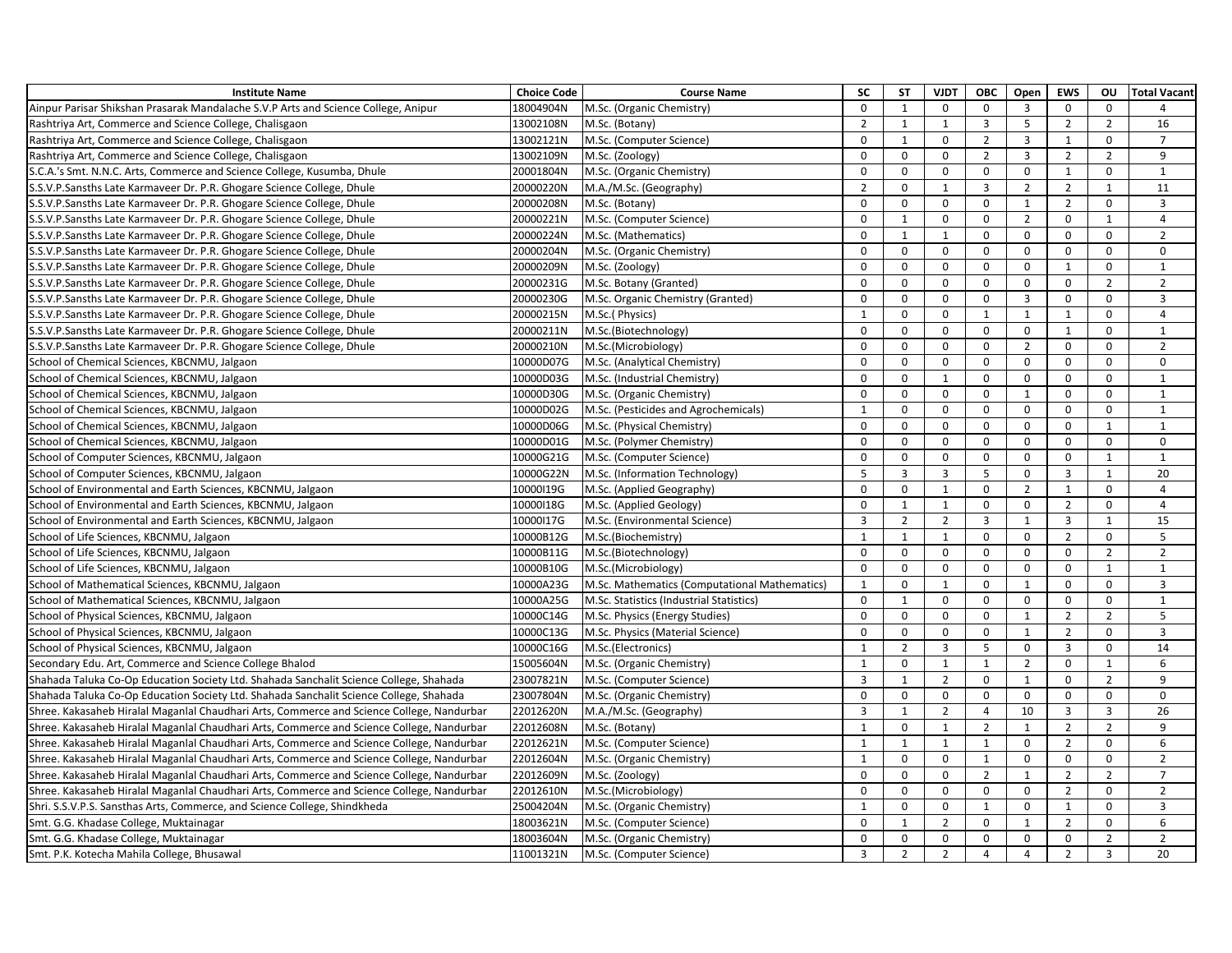| <b>Institute Name</b>                                                                     | <b>Choice Code</b> | <b>Course Name</b>                            | <b>SC</b>      | <b>ST</b>      | <b>VJDT</b>    | <b>OBC</b>     | Open                    | <b>EWS</b>     | <b>OU</b>      | <b>Total Vacant</b> |
|-------------------------------------------------------------------------------------------|--------------------|-----------------------------------------------|----------------|----------------|----------------|----------------|-------------------------|----------------|----------------|---------------------|
| Ainpur Parisar Shikshan Prasarak Mandalache S.V.P Arts and Science College, Anipur        | 18004904N          | M.Sc. (Organic Chemistry)                     | $\mathbf 0$    | $\mathbf{1}$   | $\Omega$       | $\mathbf 0$    | $\overline{3}$          | $\Omega$       | $\mathbf 0$    |                     |
| Rashtriya Art, Commerce and Science College, Chalisgaon                                   | 13002108N          | M.Sc. (Botany)                                | $\overline{2}$ | $\mathbf{1}$   | $\overline{1}$ | $\overline{3}$ | 5                       | $\overline{2}$ | $\overline{2}$ | 16                  |
| Rashtriya Art, Commerce and Science College, Chalisgaon                                   | 13002121N          | M.Sc. (Computer Science)                      | $\Omega$       | $\mathbf{1}$   | $\Omega$       | $\overline{2}$ | $\overline{\mathbf{3}}$ | $\mathbf{1}$   | $\mathbf 0$    | $\overline{7}$      |
| Rashtriya Art, Commerce and Science College, Chalisgaon                                   | 13002109N          | M.Sc. (Zoology)                               | $\mathbf 0$    | $\mathbf 0$    | 0              | $\overline{2}$ | $\overline{3}$          | $\overline{2}$ | $\overline{2}$ | 9                   |
| S.C.A.'s Smt. N.N.C. Arts, Commerce and Science College, Kusumba, Dhule                   | 20001804N          | M.Sc. (Organic Chemistry)                     | $\mathbf 0$    | $\mathsf 0$    | $\mathbf 0$    | $\mathbf 0$    | $\mathsf{O}$            | $\mathbf{1}$   | $\mathsf 0$    | $\mathbf{1}$        |
| S.S.V.P.Sansths Late Karmaveer Dr. P.R. Ghogare Science College, Dhule                    | 20000220N          | M.A./M.Sc. (Geography)                        | $\overline{2}$ | $\mathbf 0$    | $\mathbf{1}$   | 3              | $\overline{2}$          | $\overline{2}$ | $\mathbf{1}$   | 11                  |
| S.S.V.P.Sansths Late Karmaveer Dr. P.R. Ghogare Science College, Dhule                    | 20000208N          | M.Sc. (Botany)                                | $\mathbf 0$    | $\mathsf 0$    | $\mathbf 0$    | $\mathbf 0$    | $\mathbf{1}$            | $\overline{2}$ | $\mathbf 0$    | $\overline{3}$      |
| S.S.V.P.Sansths Late Karmaveer Dr. P.R. Ghogare Science College, Dhule                    | 20000221N          | M.Sc. (Computer Science)                      | $\Omega$       | $\mathbf{1}$   | $\mathbf 0$    | $\Omega$       | $\overline{2}$          | $\pmb{0}$      | 1              | 4                   |
| S.S.V.P.Sansths Late Karmaveer Dr. P.R. Ghogare Science College, Dhule                    | 20000224N          | M.Sc. (Mathematics)                           | $\mathbf 0$    | $\mathbf{1}$   | $\mathbf{1}$   | $\mathbf 0$    | $\mathsf{O}$            | $\mathbf 0$    | $\mathbf 0$    | $\overline{2}$      |
| S.S.V.P.Sansths Late Karmaveer Dr. P.R. Ghogare Science College, Dhule                    | 20000204N          | M.Sc. (Organic Chemistry)                     | $\mathbf 0$    | $\mathbf 0$    | $\mathbf 0$    | $\mathbf 0$    | $\mathbf 0$             | $\mathbf 0$    | $\mathbf 0$    | $\mathbf 0$         |
| S.S.V.P.Sansths Late Karmaveer Dr. P.R. Ghogare Science College, Dhule                    | 20000209N          | M.Sc. (Zoology)                               | $\mathbf 0$    | $\mathsf 0$    | $\mathbf 0$    | $\mathbf 0$    | 0                       | $\mathbf{1}$   | $\mathbf 0$    | $\mathbf{1}$        |
| S.S.V.P.Sansths Late Karmaveer Dr. P.R. Ghogare Science College, Dhule                    | 20000231G          | M.Sc. Botany (Granted)                        | $\Omega$       | $\mathbf 0$    | $\mathbf 0$    | $\Omega$       | 0                       | $\Omega$       | $\overline{2}$ | $\overline{2}$      |
| S.S.V.P.Sansths Late Karmaveer Dr. P.R. Ghogare Science College, Dhule                    | 20000230G          | M.Sc. Organic Chemistry (Granted)             | $\Omega$       | $\mathsf 0$    | $\Omega$       | $\Omega$       | $\mathbf{3}$            | $\Omega$       | $\mathsf{O}$   | $\overline{3}$      |
| S.S.V.P.Sansths Late Karmaveer Dr. P.R. Ghogare Science College, Dhule                    | 20000215N          | M.Sc.(Physics)                                | $\mathbf{1}$   | $\mathbf 0$    | $\mathbf 0$    | 1              | $\mathbf{1}$            | $\mathbf{1}$   | $\mathbf 0$    | $\overline{4}$      |
| S.S.V.P.Sansths Late Karmaveer Dr. P.R. Ghogare Science College, Dhule                    | 20000211N          | M.Sc.(Biotechnology)                          | $\mathbf{0}$   | $\mathbf 0$    | $\mathbf 0$    | $\Omega$       | $\mathsf 0$             | $\mathbf{1}$   | $\mathbf 0$    | $\mathbf{1}$        |
| S.S.V.P.Sansths Late Karmaveer Dr. P.R. Ghogare Science College, Dhule                    | 20000210N          | M.Sc.(Microbiology)                           | $\mathbf 0$    | $\mathsf 0$    | $\mathbf 0$    | $\mathbf 0$    | $\overline{2}$          | $\Omega$       | $\mathsf 0$    | $\overline{2}$      |
| School of Chemical Sciences, KBCNMU, Jalgaon                                              | 10000D07G          | M.Sc. (Analytical Chemistry)                  | $\mathbf 0$    | $\mathsf 0$    | $\mathbf 0$    | $\mathbf 0$    | $\mathsf{O}$            | $\Omega$       | $\mathbf 0$    | $\mathbf 0$         |
| School of Chemical Sciences, KBCNMU, Jalgaon                                              | 10000D03G          | M.Sc. (Industrial Chemistry)                  | $\mathbf 0$    | $\mathsf 0$    | $\mathbf{1}$   | $\mathbf 0$    | 0                       | $\Omega$       | $\mathsf{O}$   | $\mathbf{1}$        |
| School of Chemical Sciences, KBCNMU, Jalgaon                                              | 10000D30G          | M.Sc. (Organic Chemistry)                     | $\Omega$       | $\mathbf 0$    | $\Omega$       | $\Omega$       | $\mathbf{1}$            | $\Omega$       | $\Omega$       | $\mathbf{1}$        |
| School of Chemical Sciences, KBCNMU, Jalgaon                                              | 10000D02G          | M.Sc. (Pesticides and Agrochemicals)          | $\mathbf{1}$   | $\mathbf 0$    | $\Omega$       | $\mathbf 0$    | 0                       | $\Omega$       | $\mathbf 0$    | $\mathbf{1}$        |
| School of Chemical Sciences, KBCNMU, Jalgaon                                              | 10000D06G          | M.Sc. (Physical Chemistry)                    | $\Omega$       | $\mathbf 0$    | $\Omega$       | $\Omega$       | 0                       | $\Omega$       | $\mathbf{1}$   | $\mathbf{1}$        |
| School of Chemical Sciences, KBCNMU, Jalgaon                                              | 10000D01G          | M.Sc. (Polymer Chemistry)                     | $\Omega$       | $\mathsf 0$    | $\Omega$       | $\mathbf 0$    | 0                       | $\Omega$       | $\mathbf 0$    | $\mathbf 0$         |
| School of Computer Sciences, KBCNMU, Jalgaon                                              | 10000G21G          | M.Sc. (Computer Science)                      | $\Omega$       | $\mathsf 0$    | 0              | $\mathbf 0$    | 0                       | $\mathbf 0$    | $\mathbf{1}$   | $\mathbf{1}$        |
| School of Computer Sciences, KBCNMU, Jalgaon                                              | 10000G22N          | M.Sc. (Information Technology)                | 5              | $\overline{3}$ | 3              | 5              | 0                       | 3              | $\mathbf{1}$   | 20                  |
| School of Environmental and Earth Sciences, KBCNMU, Jalgaon                               | 10000I19G          | M.Sc. (Applied Geography)                     | $\mathbf 0$    | $\mathbf 0$    | 1              | $\mathbf 0$    | $\overline{2}$          | $\mathbf{1}$   | $\mathbf 0$    | $\overline{4}$      |
| School of Environmental and Earth Sciences, KBCNMU, Jalgaon                               | 10000118G          | M.Sc. (Applied Geology)                       | $\mathbf 0$    | $\mathbf{1}$   | $\mathbf{1}$   | $\mathbf 0$    | $\mathbf 0$             | $\overline{2}$ | $\mathbf 0$    | $\overline{4}$      |
| School of Environmental and Earth Sciences, KBCNMU, Jalgaon                               | 10000117G          | M.Sc. (Environmental Science)                 | $\overline{3}$ | $\overline{2}$ | $\overline{2}$ | $\overline{3}$ | $\mathbf{1}$            | $\overline{3}$ | $\mathbf{1}$   | 15                  |
| School of Life Sciences, KBCNMU, Jalgaon                                                  | 10000B12G          | M.Sc.(Biochemistry)                           | $\mathbf{1}$   | $\mathbf{1}$   | $\mathbf{1}$   | $\mathbf 0$    | $\mathsf{O}$            | $\overline{2}$ | $\mathsf{O}$   | 5                   |
| School of Life Sciences, KBCNMU, Jalgaon                                                  | 10000B11G          | M.Sc.(Biotechnology)                          | $\Omega$       | $\mathbf 0$    | $\mathbf 0$    | $\mathbf 0$    | $\mathsf{O}$            | $\mathbf 0$    | $\overline{2}$ | $\overline{2}$      |
| School of Life Sciences, KBCNMU, Jalgaon                                                  | 10000B10G          | M.Sc.(Microbiology)                           | $\mathbf 0$    | $\mathsf 0$    | $\mathbf 0$    | $\mathbf 0$    | $\mathbf 0$             | $\mathbf 0$    | $\mathbf{1}$   | $\mathbf{1}$        |
| School of Mathematical Sciences, KBCNMU, Jalgaon                                          | 10000A23G          | M.Sc. Mathematics (Computational Mathematics) | 1              | $\mathbf 0$    | $\overline{1}$ | $\Omega$       | $\mathbf{1}$            | $\Omega$       | $\mathbf 0$    | $\overline{3}$      |
| School of Mathematical Sciences, KBCNMU, Jalgaon                                          | 10000A25G          | M.Sc. Statistics (Industrial Statistics)      | $\Omega$       | $\mathbf{1}$   | $\Omega$       | $\Omega$       | $\mathbf{0}$            | $\Omega$       | $\mathbf 0$    | $\mathbf{1}$        |
| School of Physical Sciences, KBCNMU, Jalgaon                                              | 10000C14G          | M.Sc. Physics (Energy Studies)                | $\Omega$       | $\mathsf 0$    | $\mathbf 0$    | $\mathbf 0$    | $\mathbf{1}$            | $\overline{2}$ | $\overline{2}$ | 5                   |
| School of Physical Sciences, KBCNMU, Jalgaon                                              | 10000C13G          | M.Sc. Physics (Material Science)              | $\mathbf{0}$   | $\mathbf 0$    | $\mathbf 0$    | $\Omega$       | $\mathbf{1}$            | $\overline{2}$ | $\mathbf 0$    | $\overline{3}$      |
| School of Physical Sciences, KBCNMU, Jalgaon                                              | 10000C16G          | M.Sc.(Electronics)                            | $\mathbf{1}$   | $\overline{2}$ | 3              | 5              | $\mathbf 0$             | 3              | $\mathbf 0$    | 14                  |
| Secondary Edu. Art, Commerce and Science College Bhalod                                   | 15005604N          | M.Sc. (Organic Chemistry)                     | $\mathbf{1}$   | $\mathbf 0$    | $\mathbf{1}$   | $\mathbf{1}$   | $\overline{2}$          | $\Omega$       | 1              | 6                   |
| Shahada Taluka Co-Op Education Society Ltd. Shahada Sanchalit Science College, Shahada    | 23007821N          | M.Sc. (Computer Science)                      | 3              | $\mathbf{1}$   | $\overline{2}$ | $\mathbf 0$    | $\mathbf{1}$            | $\Omega$       | $\overline{2}$ | 9                   |
| Shahada Taluka Co-Op Education Society Ltd. Shahada Sanchalit Science College, Shahada    | 23007804N          | M.Sc. (Organic Chemistry)                     | $\mathbf 0$    | $\mathsf 0$    | $\mathbf 0$    | $\mathbf 0$    | $\mathsf{O}$            | $\Omega$       | $\mathbf 0$    | $\mathbf 0$         |
| Shree. Kakasaheb Hiralal Maganlal Chaudhari Arts, Commerce and Science College, Nandurbar | 22012620N          | M.A./M.Sc. (Geography)                        | 3              | $\mathbf{1}$   | $\overline{2}$ | $\overline{4}$ | 10                      | 3              | $\overline{3}$ | 26                  |
| Shree. Kakasaheb Hiralal Maganlal Chaudhari Arts, Commerce and Science College, Nandurbar | 22012608N          | M.Sc. (Botany)                                | $\mathbf{1}$   | $\mathbf 0$    | $\mathbf{1}$   | $\overline{2}$ | $\mathbf{1}$            | $\overline{2}$ | $\overline{2}$ | 9                   |
| Shree. Kakasaheb Hiralal Maganlal Chaudhari Arts, Commerce and Science College, Nandurbar | 22012621N          | M.Sc. (Computer Science)                      | $\mathbf{1}$   | $\mathbf{1}$   | $\overline{1}$ | $\mathbf{1}$   | $\Omega$                | $\overline{2}$ | $\mathbf 0$    | 6                   |
| Shree. Kakasaheb Hiralal Maganlal Chaudhari Arts, Commerce and Science College, Nandurbar | 22012604N          | M.Sc. (Organic Chemistry)                     | $\overline{1}$ | $\mathbf 0$    | $\mathbf 0$    | $\mathbf{1}$   | 0                       | $\mathbf 0$    | $\mathbf 0$    | $\overline{2}$      |
| Shree. Kakasaheb Hiralal Maganlal Chaudhari Arts, Commerce and Science College, Nandurbar | 22012609N          | M.Sc. (Zoology)                               | $\mathbf 0$    | $\mathsf 0$    | 0              | $\overline{2}$ | $\mathbf{1}$            | $\overline{2}$ | $\overline{2}$ | $\overline{7}$      |
| Shree. Kakasaheb Hiralal Maganlal Chaudhari Arts, Commerce and Science College, Nandurbar | 22012610N          | M.Sc.(Microbiology)                           | $\Omega$       | $\Omega$       | $\Omega$       | $\Omega$       | $\Omega$                | $\overline{2}$ | $\Omega$       | $\overline{2}$      |
| Shri. S.S.V.P.S. Sansthas Arts, Commerce, and Science College, Shindkheda                 | 25004204N          | M.Sc. (Organic Chemistry)                     | $\mathbf{1}$   | $\mathbf 0$    | 0              | $\mathbf{1}$   | 0                       | $\mathbf{1}$   | $\mathbf 0$    | $\overline{3}$      |
| Smt. G.G. Khadase College, Muktainagar                                                    | 18003621N          | M.Sc. (Computer Science)                      | $\mathbf 0$    | $\mathbf{1}$   | $\overline{2}$ | $\mathbf 0$    | $\mathbf{1}$            | $\overline{2}$ | $\mathbf 0$    | 6                   |
| Smt. G.G. Khadase College, Muktainagar                                                    | 18003604N          | M.Sc. (Organic Chemistry)                     | $\mathbf 0$    | $\mathbf 0$    | 0              | $\mathbf 0$    | $\mathbf 0$             | $\mathbf 0$    | $\overline{2}$ | $\overline{2}$      |
| Smt. P.K. Kotecha Mahila College, Bhusawal                                                | 11001321N          | M.Sc. (Computer Science)                      | $\overline{3}$ | $\overline{2}$ | $\overline{2}$ | $\overline{4}$ | $\overline{4}$          | $\overline{2}$ | $\overline{3}$ | 20                  |